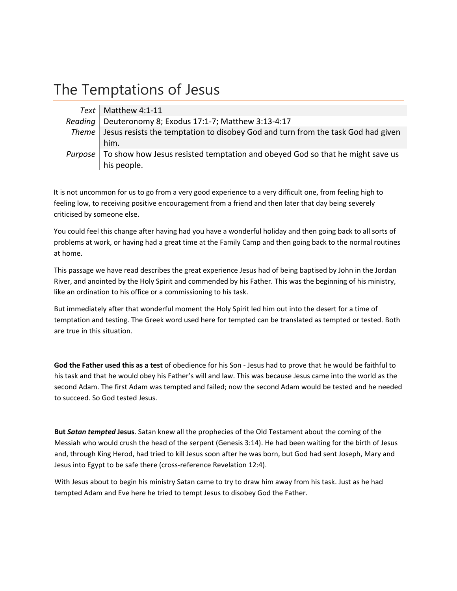# The Temptations of Jesus

| Text   Matthew 4:1-11                                                                    |
|------------------------------------------------------------------------------------------|
| Reading   Deuteronomy 8; Exodus 17:1-7; Matthew 3:13-4:17                                |
| Theme   Jesus resists the temptation to disobey God and turn from the task God had given |
| him.                                                                                     |
| Purpose   To show how Jesus resisted temptation and obeyed God so that he might save us  |
| his people.                                                                              |

It is not uncommon for us to go from a very good experience to a very difficult one, from feeling high to feeling low, to receiving positive encouragement from a friend and then later that day being severely criticised by someone else.

You could feel this change after having had you have a wonderful holiday and then going back to all sorts of problems at work, or having had a great time at the Family Camp and then going back to the normal routines at home.

This passage we have read describes the great experience Jesus had of being baptised by John in the Jordan River, and anointed by the Holy Spirit and commended by his Father. This was the beginning of his ministry, like an ordination to his office or a commissioning to his task.

But immediately after that wonderful moment the Holy Spirit led him out into the desert for a time of temptation and testing. The Greek word used here for tempted can be translated as tempted or tested. Both are true in this situation.

**God the Father used this as a test** of obedience for his Son ‐ Jesus had to prove that he would be faithful to his task and that he would obey his Father's will and law. This was because Jesus came into the world as the second Adam. The first Adam was tempted and failed; now the second Adam would be tested and he needed to succeed. So God tested Jesus.

**But** *Satan tempted* **Jesus**. Satan knew all the prophecies of the Old Testament about the coming of the Messiah who would crush the head of the serpent (Genesis 3:14). He had been waiting for the birth of Jesus and, through King Herod, had tried to kill Jesus soon after he was born, but God had sent Joseph, Mary and Jesus into Egypt to be safe there (cross-reference Revelation 12:4).

With Jesus about to begin his ministry Satan came to try to draw him away from his task. Just as he had tempted Adam and Eve here he tried to tempt Jesus to disobey God the Father.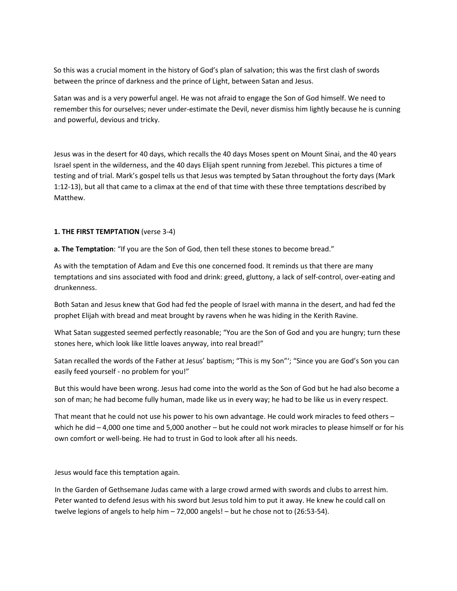So this was a crucial moment in the history of God's plan of salvation; this was the first clash of swords between the prince of darkness and the prince of Light, between Satan and Jesus.

Satan was and is a very powerful angel. He was not afraid to engage the Son of God himself. We need to remember this for ourselves; never under‐estimate the Devil, never dismiss him lightly because he is cunning and powerful, devious and tricky.

Jesus was in the desert for 40 days, which recalls the 40 days Moses spent on Mount Sinai, and the 40 years Israel spent in the wilderness, and the 40 days Elijah spent running from Jezebel. This pictures a time of testing and of trial. Mark's gospel tells us that Jesus was tempted by Satan throughout the forty days (Mark 1:12‐13), but all that came to a climax at the end of that time with these three temptations described by Matthew.

# **1. THE FIRST TEMPTATION** (verse 3‐4)

**a. The Temptation**: "If you are the Son of God, then tell these stones to become bread."

As with the temptation of Adam and Eve this one concerned food. It reminds us that there are many temptations and sins associated with food and drink: greed, gluttony, a lack of self‐control, over‐eating and drunkenness.

Both Satan and Jesus knew that God had fed the people of Israel with manna in the desert, and had fed the prophet Elijah with bread and meat brought by ravens when he was hiding in the Kerith Ravine.

What Satan suggested seemed perfectly reasonable; "You are the Son of God and you are hungry; turn these stones here, which look like little loaves anyway, into real bread!"

Satan recalled the words of the Father at Jesus' baptism; "This is my Son"'; "Since you are God's Son you can easily feed yourself ‐ no problem for you!"

But this would have been wrong. Jesus had come into the world as the Son of God but he had also become a son of man; he had become fully human, made like us in every way; he had to be like us in every respect.

That meant that he could not use his power to his own advantage. He could work miracles to feed others – which he did – 4,000 one time and 5,000 another – but he could not work miracles to please himself or for his own comfort or well‐being. He had to trust in God to look after all his needs.

Jesus would face this temptation again.

In the Garden of Gethsemane Judas came with a large crowd armed with swords and clubs to arrest him. Peter wanted to defend Jesus with his sword but Jesus told him to put it away. He knew he could call on twelve legions of angels to help him – 72,000 angels! – but he chose not to (26:53‐54).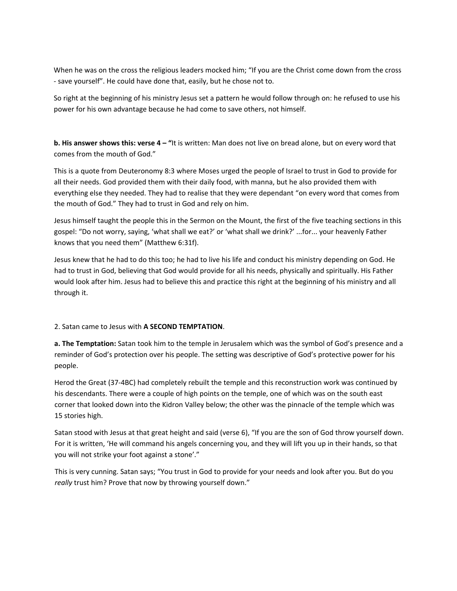When he was on the cross the religious leaders mocked him; "If you are the Christ come down from the cross ‐ save yourself". He could have done that, easily, but he chose not to.

So right at the beginning of his ministry Jesus set a pattern he would follow through on: he refused to use his power for his own advantage because he had come to save others, not himself.

**b. His answer shows this: verse 4 – "**It is written: Man does not live on bread alone, but on every word that comes from the mouth of God."

This is a quote from Deuteronomy 8:3 where Moses urged the people of Israel to trust in God to provide for all their needs. God provided them with their daily food, with manna, but he also provided them with everything else they needed. They had to realise that they were dependant "on every word that comes from the mouth of God." They had to trust in God and rely on him.

Jesus himself taught the people this in the Sermon on the Mount, the first of the five teaching sections in this gospel: "Do not worry, saying, 'what shall we eat?' or 'what shall we drink?' ...for... your heavenly Father knows that you need them" (Matthew 6:31f).

Jesus knew that he had to do this too; he had to live his life and conduct his ministry depending on God. He had to trust in God, believing that God would provide for all his needs, physically and spiritually. His Father would look after him. Jesus had to believe this and practice this right at the beginning of his ministry and all through it.

# 2. Satan came to Jesus with **A SECOND TEMPTATION**.

**a. The Temptation:** Satan took him to the temple in Jerusalem which was the symbol of God's presence and a reminder of God's protection over his people. The setting was descriptive of God's protective power for his people.

Herod the Great (37‐4BC) had completely rebuilt the temple and this reconstruction work was continued by his descendants. There were a couple of high points on the temple, one of which was on the south east corner that looked down into the Kidron Valley below; the other was the pinnacle of the temple which was 15 stories high.

Satan stood with Jesus at that great height and said (verse 6), "If you are the son of God throw yourself down. For it is written, 'He will command his angels concerning you, and they will lift you up in their hands, so that you will not strike your foot against a stone'."

This is very cunning. Satan says; "You trust in God to provide for your needs and look after you. But do you *really* trust him? Prove that now by throwing yourself down."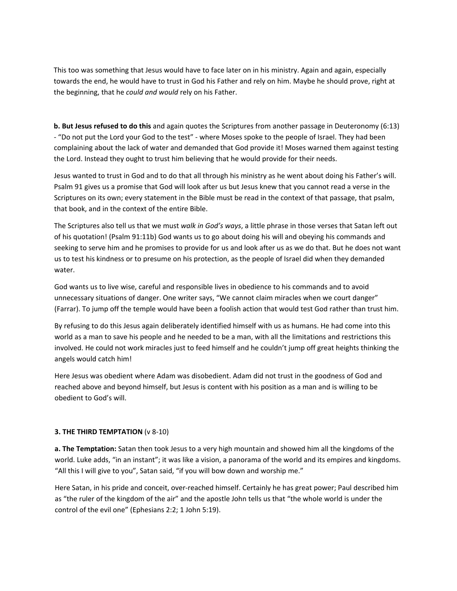This too was something that Jesus would have to face later on in his ministry. Again and again, especially towards the end, he would have to trust in God his Father and rely on him. Maybe he should prove, right at the beginning, that he *could and would* rely on his Father.

**b. But Jesus refused to do this** and again quotes the Scriptures from another passage in Deuteronomy (6:13) ‐ "Do not put the Lord your God to the test" ‐ where Moses spoke to the people of Israel. They had been complaining about the lack of water and demanded that God provide it! Moses warned them against testing the Lord. Instead they ought to trust him believing that he would provide for their needs.

Jesus wanted to trust in God and to do that all through his ministry as he went about doing his Father's will. Psalm 91 gives us a promise that God will look after us but Jesus knew that you cannot read a verse in the Scriptures on its own; every statement in the Bible must be read in the context of that passage, that psalm, that book, and in the context of the entire Bible.

The Scriptures also tell us that we must *walk in God's ways*, a little phrase in those verses that Satan left out of his quotation! (Psalm 91:11b) God wants us to go about doing his will and obeying his commands and seeking to serve him and he promises to provide for us and look after us as we do that. But he does not want us to test his kindness or to presume on his protection, as the people of Israel did when they demanded water.

God wants us to live wise, careful and responsible lives in obedience to his commands and to avoid unnecessary situations of danger. One writer says, "We cannot claim miracles when we court danger" (Farrar). To jump off the temple would have been a foolish action that would test God rather than trust him.

By refusing to do this Jesus again deliberately identified himself with us as humans. He had come into this world as a man to save his people and he needed to be a man, with all the limitations and restrictions this involved. He could not work miracles just to feed himself and he couldn't jump off great heights thinking the angels would catch him!

Here Jesus was obedient where Adam was disobedient. Adam did not trust in the goodness of God and reached above and beyond himself, but Jesus is content with his position as a man and is willing to be obedient to God's will.

# **3. THE THIRD TEMPTATION** (v 8‐10)

**a. The Temptation:** Satan then took Jesus to a very high mountain and showed him all the kingdoms of the world. Luke adds, "in an instant"; it was like a vision, a panorama of the world and its empires and kingdoms. "All this I will give to you", Satan said, "if you will bow down and worship me."

Here Satan, in his pride and conceit, over-reached himself. Certainly he has great power; Paul described him as "the ruler of the kingdom of the air" and the apostle John tells us that "the whole world is under the control of the evil one" (Ephesians 2:2; 1 John 5:19).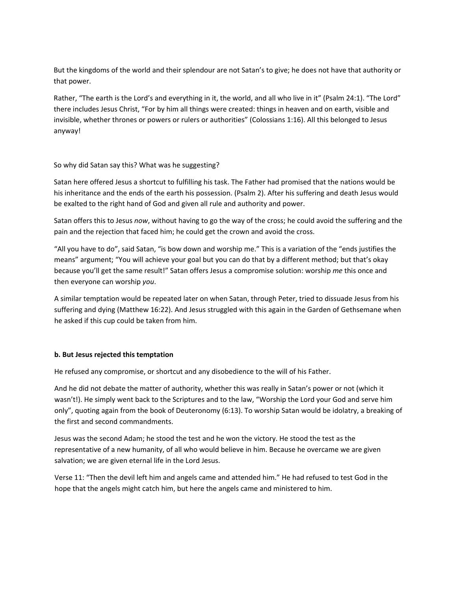But the kingdoms of the world and their splendour are not Satan's to give; he does not have that authority or that power.

Rather, "The earth is the Lord's and everything in it, the world, and all who live in it" (Psalm 24:1). "The Lord" there includes Jesus Christ, "For by him all things were created: things in heaven and on earth, visible and invisible, whether thrones or powers or rulers or authorities" (Colossians 1:16). All this belonged to Jesus anyway!

So why did Satan say this? What was he suggesting?

Satan here offered Jesus a shortcut to fulfilling his task. The Father had promised that the nations would be his inheritance and the ends of the earth his possession. (Psalm 2). After his suffering and death Jesus would be exalted to the right hand of God and given all rule and authority and power.

Satan offers this to Jesus *now*, without having to go the way of the cross; he could avoid the suffering and the pain and the rejection that faced him; he could get the crown and avoid the cross.

"All you have to do", said Satan, "is bow down and worship me." This is a variation of the "ends justifies the means" argument; "You will achieve your goal but you can do that by a different method; but that's okay because you'll get the same result!" Satan offers Jesus a compromise solution: worship *me* this once and then everyone can worship *you*.

A similar temptation would be repeated later on when Satan, through Peter, tried to dissuade Jesus from his suffering and dying (Matthew 16:22). And Jesus struggled with this again in the Garden of Gethsemane when he asked if this cup could be taken from him.

# **b. But Jesus rejected this temptation**

He refused any compromise, or shortcut and any disobedience to the will of his Father.

And he did not debate the matter of authority, whether this was really in Satan's power or not (which it wasn't!). He simply went back to the Scriptures and to the law, "Worship the Lord your God and serve him only", quoting again from the book of Deuteronomy (6:13). To worship Satan would be idolatry, a breaking of the first and second commandments.

Jesus was the second Adam; he stood the test and he won the victory. He stood the test as the representative of a new humanity, of all who would believe in him. Because he overcame we are given salvation; we are given eternal life in the Lord Jesus.

Verse 11: "Then the devil left him and angels came and attended him." He had refused to test God in the hope that the angels might catch him, but here the angels came and ministered to him.